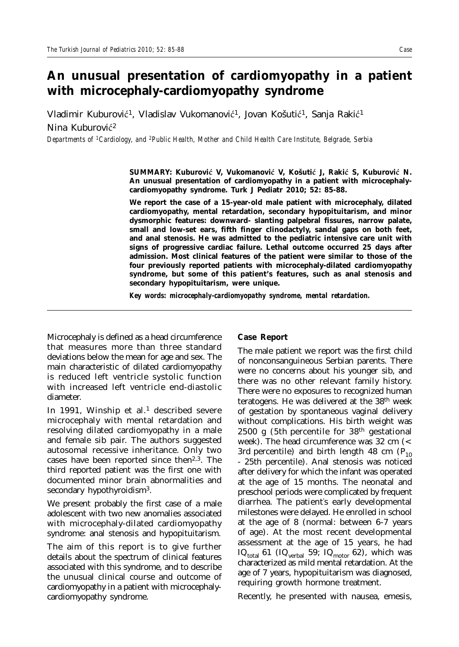## **An unusual presentation of cardiomyopathy in a patient with microcephaly-cardiomyopathy syndrome**

Vladimir Kuburović<sup>1</sup>, Vladislav Vukomanović<sup>1</sup>, Jovan Košutić<sup>1</sup>, Sanja Rakić<sup>1</sup> Nina Kuburović<sup>2</sup>

*Departments of 1Cardiology, and 2Public Health, Mother and Child Health Care Institute, Belgrade, Serbia* 

**SUMMARY: Kuburoviþ V, Vukomanoviþ V, Košutiþ J, Rakiþ S, Kuburoviþ N. An unusual presentation of cardiomyopathy in a patient with microcephalycardiomyopathy syndrome. Turk J Pediatr 2010; 52: 85-88.**

**We report the case of a 15-year-old male patient with microcephaly, dilated cardiomyopathy, mental retardation, secondary hypopituitarism, and minor dysmorphic features: downward- slanting palpebral fissures, narrow palate, small and low-set ears, fifth finger clinodactyly, sandal gaps on both feet, and anal stenosis. He was admitted to the pediatric intensive care unit with signs of progressive cardiac failure. Lethal outcome occurred 25 days after admission. Most clinical features of the patient were similar to those of the four previously reported patients with microcephaly-dilated cardiomyopathy syndrome, but some of this patient's features, such as anal stenosis and secondary hypopituitarism, were unique.** 

*Key words: microcephaly-cardiomyopathy syndrome, mental retardation.*

Microcephaly is defined as a head circumference that measures more than three standard deviations below the mean for age and sex. The main characteristic of dilated cardiomyopathy is reduced left ventricle systolic function with increased left ventricle end-diastolic diameter.

In 1991, Winship et al.<sup>1</sup> described severe microcephaly with mental retardation and resolving dilated cardiomyopathy in a male and female sib pair. The authors suggested autosomal recessive inheritance. Only two cases have been reported since then<sup>2,3</sup>. The third reported patient was the first one with documented minor brain abnormalities and secondary hypothyroidism<sup>3</sup>.

We present probably the first case of a male adolescent with two new anomalies associated with microcephaly-dilated cardiomyopathy syndrome: anal stenosis and hypopituitarism.

The aim of this report is to give further details about the spectrum of clinical features associated with this syndrome, and to describe the unusual clinical course and outcome of cardiomyopathy in a patient with microcephalycardiomyopathy syndrome.

## **Case Report**

The male patient we report was the first child of nonconsanguineous Serbian parents. There were no concerns about his younger sib, and there was no other relevant family history. There were no exposures to recognized human teratogens. He was delivered at the 38th week of gestation by spontaneous vaginal delivery without complications. His birth weight was 2500 g (5th percentile for  $38<sup>th</sup>$  gestational week). The head circumference was 32 cm (< 3rd percentile) and birth length 48 cm  $(P_{10})$ - 25th percentile). Anal stenosis was noticed after delivery for which the infant was operated at the age of 15 months. The neonatal and preschool periods were complicated by frequent diarrhea. The patient' s early developmental milestones were delayed. He enrolled in school at the age of 8 (normal: between 6-7 years of age). At the most recent developmental assessment at the age of 15 years, he had IQ<sub>total</sub> 61 (IQ<sub>verbal</sub> 59; IQ<sub>motor</sub> 62), which was characterized as mild mental retardation. At the age of 7 years, hypopituitarism was diagnosed, requiring growth hormone treatment.

Recently, he presented with nausea, emesis,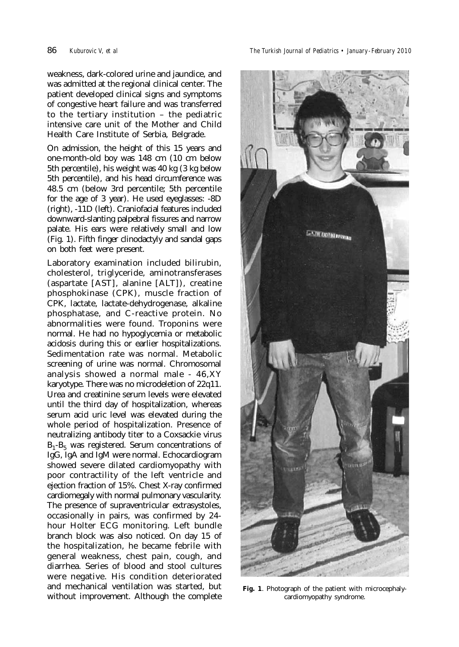weakness, dark-colored urine and jaundice, and was admitted at the regional clinical center. The patient developed clinical signs and symptoms of congestive heart failure and was transferred to the tertiary institution – the pediatric intensive care unit of the Mother and Child Health Care Institute of Serbia, Belgrade.

On admission, the height of this 15 years and one-month-old boy was 148 cm (10 cm below 5th percentile), his weight was 40 kg (3 kg below 5th percentile), and his head circumference was 48.5 cm (below 3rd percentile; 5th percentile for the age of 3 year). He used eyeglasses: -8D (right), -11D (left). Craniofacial features included downward-slanting palpebral fissures and narrow palate. His ears were relatively small and low (Fig. 1). Fifth finger clinodactyly and sandal gaps on both feet were present.

Laboratory examination included bilirubin, cholesterol, triglyceride, aminotransferases (aspartate [AST], alanine [ALT]), creatine phosphokinase (CPK), muscle fraction of CPK, lactate, lactate-dehydrogenase, alkaline phosphatase, and C-reactive protein. No abnormalities were found. Troponins were normal. He had no hypoglycemia or metabolic acidosis during this or earlier hospitalizations. Sedimentation rate was normal. Metabolic screening of urine was normal. Chromosomal analysis showed a normal male - 46,XY karyotype. There was no microdeletion of 22q11. Urea and creatinine serum levels were elevated until the third day of hospitalization, whereas serum acid uric level was elevated during the whole period of hospitalization. Presence of neutralizing antibody titer to a Coxsackie virus  $B_1 - B_5$  was registered. Serum concentrations of IgG, IgA and IgM were normal. Echocardiogram showed severe dilated cardiomyopathy with poor contractility of the left ventricle and ejection fraction of 15%. Chest X-ray confirmed cardiomegaly with normal pulmonary vascularity. The presence of supraventricular extrasystoles, occasionally in pairs, was confirmed by 24 hour Holter ECG monitoring. Left bundle branch block was also noticed. On day 15 of the hospitalization, he became febrile with general weakness, chest pain, cough, and diarrhea. Series of blood and stool cultures were negative. His condition deteriorated and mechanical ventilation was started, but without improvement. Although the complete

86 *Kuburovic V, et al The Turkish Journal of Pediatrics • January - February 2010*



**Fig. 1**. Photograph of the patient with microcephalycardiomyopathy syndrome.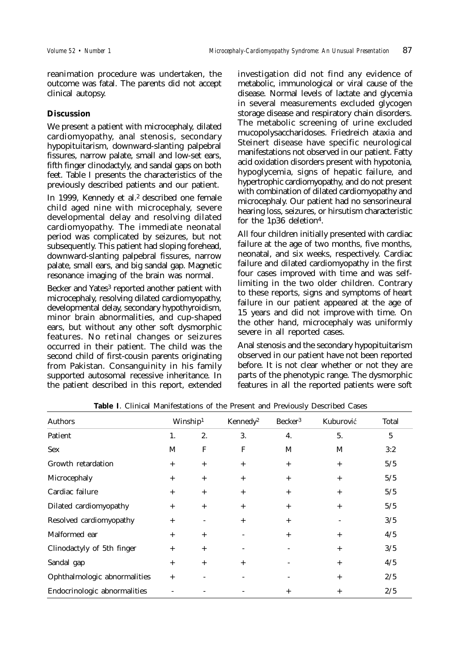reanimation procedure was undertaken, the outcome was fatal. The parents did not accept clinical autopsy.

## **Discussion**

We present a patient with microcephaly, dilated cardiomyopathy, anal stenosis, secondary hypopituitarism, downward-slanting palpebral fissures, narrow palate, small and low-set ears, fifth finger clinodactyly, and sandal gaps on both feet. Table I presents the characteristics of the previously described patients and our patient.

In 1999, Kennedy et al.<sup>2</sup> described one female child aged nine with microcephaly, severe developmental delay and resolving dilated cardiomyopathy. The immediate neonatal period was complicated by seizures, but not subsequently. This patient had sloping forehead, downward-slanting palpebral fissures, narrow palate, small ears, and big sandal gap. Magnetic resonance imaging of the brain was normal.

Becker and Yates<sup>3</sup> reported another patient with microcephaly, resolving dilated cardiomyopathy, developmental delay, secondary hypothyroidism, minor brain abnormalities, and cup-shaped ears, but without any other soft dysmorphic features. No retinal changes or seizures occurred in their patient. The child was the second child of first-cousin parents originating from Pakistan. Consanguinity in his family supported autosomal recessive inheritance. In the patient described in this report, extended

investigation did not find any evidence of metabolic, immunological or viral cause of the disease. Normal levels of lactate and glycemia in several measurements excluded glycogen storage disease and respiratory chain disorders. The metabolic screening of urine excluded mucopolysaccharidoses. Friedreich ataxia and Steinert disease have specific neurological manifestations not observed in our patient. Fatty acid oxidation disorders present with hypotonia, hypoglycemia, signs of hepatic failure, and hypertrophic cardiomyopathy, and do not present with combination of dilated cardiomyopathy and microcephaly. Our patient had no sensorineural hearing loss, seizures, or hirsutism characteristic for the 1p36 deletion4.

All four children initially presented with cardiac failure at the age of two months, five months, neonatal, and six weeks, respectively. Cardiac failure and dilated cardiomyopathy in the first four cases improved with time and was selflimiting in the two older children. Contrary to these reports, signs and symptoms of heart failure in our patient appeared at the age of 15 years and did not improve with time. On the other hand, microcephaly was uniformly severe in all reported cases.

Anal stenosis and the secondary hypopituitarism observed in our patient have not been reported before. It is not clear whether or not they are parts of the phenotypic range. The dysmorphic features in all the reported patients were soft

| Authors                      | Winship <sup>1</sup> |        | Kennedy <sup>2</sup> | Becker <sup>3</sup> | Kuburović | Total |
|------------------------------|----------------------|--------|----------------------|---------------------|-----------|-------|
| Patient                      | 1.                   | 2.     | 3.                   | 4.                  | 5.        | 5     |
| <b>Sex</b>                   | M                    | F      | F                    | M                   | M         | 3:2   |
| Growth retardation           | $+$                  | $+$    | $+$                  | $+$                 | $+$       | 5/5   |
| Microcephaly                 | $+$                  | $^{+}$ | $+$                  | $+$                 | $+$       | 5/5   |
| Cardiac failure              | $+$                  | $+$    | $^{+}$               | $+$                 | $+$       | 5/5   |
| Dilated cardiomyopathy       | $+$                  | $+$    | $^{+}$               | $+$                 | $+$       | 5/5   |
| Resolved cardiomyopathy      | $+$                  |        | $+$                  | $+$                 |           | 3/5   |
| Malformed ear                | $+$                  | $+$    |                      | $+$                 | $+$       | 4/5   |
| Clinodactyly of 5th finger   | $+$                  | $^{+}$ |                      |                     | $+$       | 3/5   |
| Sandal gap                   | $+$                  | $+$    | $+$                  |                     | $+$       | 4/5   |
| Ophthalmologic abnormalities | $+$                  |        |                      |                     | $+$       | 2/5   |
| Endocrinologic abnormalities |                      |        |                      | $^{+}$              | $^{+}$    | 2/5   |

**Table I**. Clinical Manifestations of the Present and Previously Described Cases